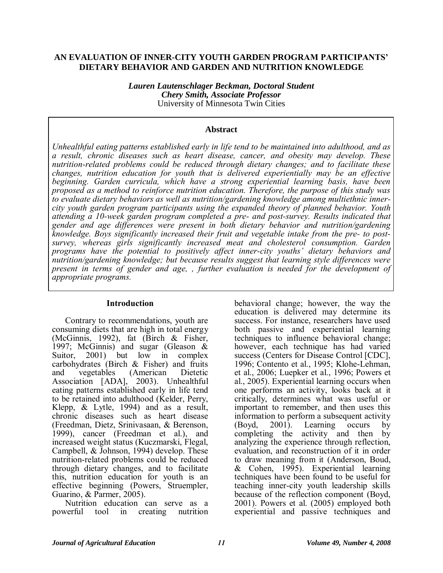## **AN EVALUATION OF INNER-CITY YOUTH GARDEN PROGRAM PARTICIPANTS' DIETARY BEHAVIOR AND GARDEN AND NUTRITION KNOWLEDGE**

*Lauren Lautenschlager Beckman, Doctoral Student Chery Smith, Associate Professor* University of Minnesota Twin Cities

#### **Abstract**

*Unhealthful eating patterns established early in life tend to be maintained into adulthood, and as a result, chronic diseases such as heart disease, cancer, and obesity may develop. These nutrition-related problems could be reduced through dietary changes; and to facilitate these changes, nutrition education for youth that is delivered experientially may be an effective beginning. Garden curricula, which have a strong experiential learning basis, have been proposed as a method to reinforce nutrition education. Therefore, the purpose of this study was to evaluate dietary behaviors as well as nutrition/gardening knowledge among multiethnic innercity youth garden program participants using the expanded theory of planned behavior. Youth attending a 10-week garden program completed a pre- and post-survey. Results indicated that gender and age differences were present in both dietary behavior and nutrition/gardening knowledge. Boys significantly increased their fruit and vegetable intake from the pre- to postsurvey, whereas girls significantly increased meat and cholesterol consumption. Garden programs have the potential to positively affect inner-city youths' dietary behaviors and nutrition/gardening knowledge; but because results suggest that learning style differences were*  present in terms of gender and age, , further evaluation is needed for the development of *appropriate programs.*

#### **Introduction**

Contrary to recommendations, youth are consuming diets that are high in total energy (McGinnis, 1992), fat (Birch & Fisher, 1997; McGinnis) and sugar (Gleason & Suitor, 2001) but low in complex carbohydrates (Birch & Fisher) and fruits and vegetables (American Dietetic Association [ADA], 2003). Unhealthful eating patterns established early in life tend to be retained into adulthood (Kelder, Perry, Klepp, & Lytle, 1994) and as a result, chronic diseases such as heart disease (Freedman, Dietz, Srinivasaan, & Berenson, 1999), cancer (Freedman et al.), and increased weight status (Kuczmarski, Flegal, Campbell, & Johnson, 1994) develop. These nutrition-related problems could be reduced through dietary changes, and to facilitate this, nutrition education for youth is an effective beginning (Powers, Struempler, Guarino, & Parmer, 2005).

Nutrition education can serve as a powerful tool in creating nutrition behavioral change; however, the way the education is delivered may determine its success. For instance, researchers have used both passive and experiential learning techniques to influence behavioral change; however, each technique has had varied success (Centers for Disease Control [CDC], 1996; Contento et al., 1995; Klohe-Lehman, et al., 2006; Luepker et al., 1996; Powers et al., 2005). Experiential learning occurs when one performs an activity, looks back at it critically, determines what was useful or important to remember, and then uses this information to perform a subsequent activity (Boyd, 2001). Learning occurs by completing the activity and then by analyzing the experience through reflection, evaluation, and reconstruction of it in order to draw meaning from it (Anderson, Boud, & Cohen, 1995). Experiential learning techniques have been found to be useful for teaching inner-city youth leadership skills because of the reflection component (Boyd, 2001). Powers et al. (2005) employed both experiential and passive techniques and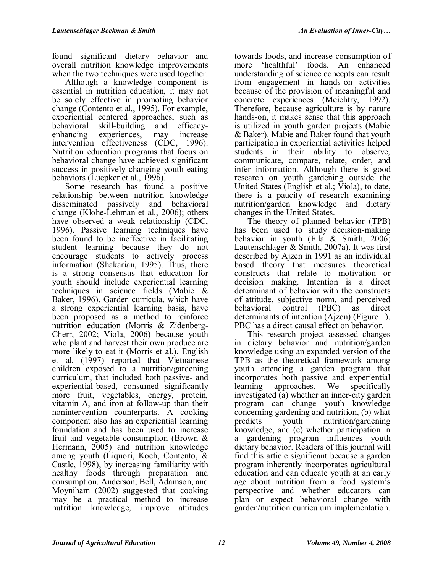found significant dietary behavior and overall nutrition knowledge improvements when the two techniques were used together.

Although a knowledge component is essential in nutrition education, it may not be solely effective in promoting behavior change (Contento et al., 1995). For example, experiential centered approaches, such as behavioral skill-building and efficacyenhancing experiences, may increase intervention effectiveness (CDC, 1996). Nutrition education programs that focus on behavioral change have achieved significant success in positively changing youth eating behaviors (Luepker et al., 1996).

Some research has found a positive relationship between nutrition knowledge disseminated passively and behavioral change (Klohe-Lehman et al., 2006); others have observed a weak relationship (CDC, 1996). Passive learning techniques have been found to be ineffective in facilitating student learning because they do not encourage students to actively process information (Shakarian, 1995). Thus, there is a strong consensus that education for youth should include experiential learning techniques in science fields (Mabie & Baker, 1996). Garden curricula, which have a strong experiential learning basis, have been proposed as a method to reinforce nutrition education (Morris & Zidenberg-Cherr, 2002; Viola, 2006) because youth who plant and harvest their own produce are more likely to eat it (Morris et al.). English et al. (1997) reported that Vietnamese children exposed to a nutrition/gardening curriculum, that included both passive- and experiential-based, consumed significantly more fruit, vegetables, energy, protein, vitamin A, and iron at follow-up than their nonintervention counterparts. A cooking component also has an experiential learning foundation and has been used to increase fruit and vegetable consumption (Brown & Hermann, 2005) and nutrition knowledge among youth (Liquori, Koch, Contento, & Castle, 1998), by increasing familiarity with healthy foods through preparation and consumption. Anderson, Bell, Adamson, and Moyniham (2002) suggested that cooking may be a practical method to increase nutrition knowledge, improve attitudes

towards foods, and increase consumption of more 'healthful' foods. An enhanced understanding of science concepts can result from engagement in hands-on activities because of the provision of meaningful and concrete experiences (Meichtry, 1992). Therefore, because agriculture is by nature hands-on, it makes sense that this approach is utilized in youth garden projects (Mabie & Baker). Mabie and Baker found that youth participation in experiential activities helped students in their ability to observe, communicate, compare, relate, order, and infer information. Although there is good research on youth gardening outside the United States (English et al.; Viola), to date, there is a paucity of research examining nutrition/garden knowledge and dietary changes in the United States.

The theory of planned behavior (TPB) has been used to study decision-making behavior in youth (Fila & Smith, 2006; Lautenschlager & Smith, 2007a). It was first described by Ajzen in 1991 as an individual based theory that measures theoretical constructs that relate to motivation or decision making. Intention is a direct determinant of behavior with the constructs of attitude, subjective norm, and perceived behavioral control (PBC) as direct determinants of intention (Ajzen) (Figure 1). PBC has a direct causal effect on behavior.

This research project assessed changes in dietary behavior and nutrition/garden knowledge using an expanded version of the TPB as the theoretical framework among youth attending a garden program that incorporates both passive and experiential<br>learning approaches. We specifically learning approaches. investigated (a) whether an inner-city garden program can change youth knowledge concerning gardening and nutrition, (b) what predicts youth nutrition/gardening knowledge, and (c) whether participation in a gardening program influences youth dietary behavior. Readers of this journal will find this article significant because a garden program inherently incorporates agricultural education and can educate youth at an early age about nutrition from a food system's perspective and whether educators can plan or expect behavioral change with garden/nutrition curriculum implementation.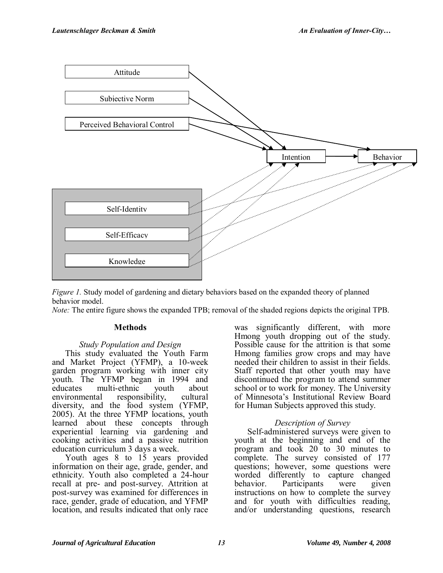

*Figure 1.* Study model of gardening and dietary behaviors based on the expanded theory of planned behavior model.

*Note:* The entire figure shows the expanded TPB; removal of the shaded regions depicts the original TPB.

## **Methods**

## *Study Population and Design*

This study evaluated the Youth Farm and Market Project (YFMP), a 10-week garden program working with inner city youth. The YFMP began in 1994 and educates multi-ethnic youth about environmental responsibility, cultural diversity, and the food system (YFMP, 2005). At the three YFMP locations, youth learned about these concepts through experiential learning via gardening and cooking activities and a passive nutrition education curriculum 3 days a week.

Youth ages 8 to 15 years provided information on their age, grade, gender, and ethnicity. Youth also completed a 24-hour recall at pre- and post-survey. Attrition at post-survey was examined for differences in race, gender, grade of education, and YFMP location, and results indicated that only race

was significantly different, with more Hmong youth dropping out of the study. Possible cause for the attrition is that some Hmong families grow crops and may have needed their children to assist in their fields. Staff reported that other youth may have discontinued the program to attend summer school or to work for money. The University of Minnesota's Institutional Review Board for Human Subjects approved this study.

## *Description of Survey*

Self-administered surveys were given to youth at the beginning and end of the program and took 20 to 30 minutes to complete. The survey consisted of 177 questions; however, some questions were worded differently to capture changed behavior. Participants were given instructions on how to complete the survey and for youth with difficulties reading, and/or understanding questions, research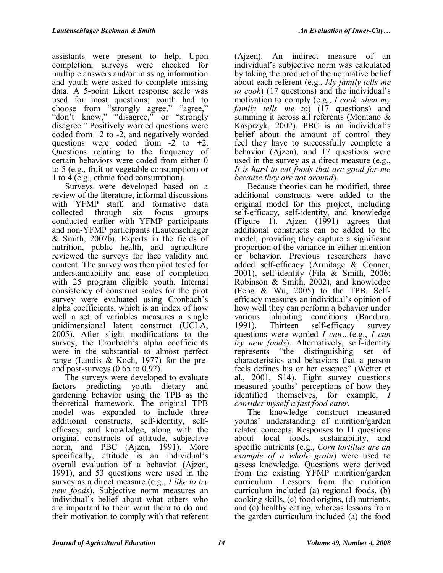assistants were present to help. Upon completion, surveys were checked for multiple answers and/or missing information and youth were asked to complete missing data. A 5-point Likert response scale was used for most questions; youth had to choose from "strongly agree," "agree," "don't know," "disagree," or "strongly" disagree." Positively worded questions were coded from +2 to -2, and negatively worded questions were coded from  $-2$  to  $+2$ . Questions relating to the frequency of certain behaviors were coded from either 0 to 5 (e.g., fruit or vegetable consumption) or 1 to 4 (e.g., ethnic food consumption).

Surveys were developed based on a review of the literature, informal discussions with YFMP staff, and formative data collected through six focus groups conducted earlier with YFMP participants and non-YFMP participants (Lautenschlager & Smith, 2007b). Experts in the fields of nutrition, public health, and agriculture reviewed the surveys for face validity and content. The survey was then pilot tested for understandability and ease of completion with 25 program eligible youth. Internal consistency of construct scales for the pilot survey were evaluated using Cronbach's alpha coefficients, which is an index of how well a set of variables measures a single unidimensional latent construct (UCLA, 2005). After slight modifications to the survey, the Cronbach's alpha coefficients were in the substantial to almost perfect range (Landis & Koch, 1977) for the preand post-surveys (0.65 to 0.92).

The surveys were developed to evaluate factors predicting youth dietary and gardening behavior using the TPB as the theoretical framework. The original TPB model was expanded to include three additional constructs, self-identity, selfefficacy, and knowledge, along with the original constructs of attitude, subjective norm, and PBC (Ajzen, 1991). More specifically, attitude is an individual's overall evaluation of a behavior (Ajzen, 1991), and 53 questions were used in the survey as a direct measure (e.g., *I like to try new foods*). Subjective norm measures an individual's belief about what others who are important to them want them to do and their motivation to comply with that referent

(Ajzen). An indirect measure of an individual's subjective norm was calculated by taking the product of the normative belief about each referent (e.g., *My family tells me to cook*) (17 questions) and the individual's motivation to comply (e.g., *I cook when my family tells me to*) (17 questions) and summing it across all referents (Montano & Kasprzyk, 2002). PBC is an individual's belief about the amount of control they feel they have to successfully complete a behavior (Ajzen), and 17 questions were used in the survey as a direct measure (e.g., *It is hard to eat foods that are good for me because they are not around*).

Because theories can be modified, three additional constructs were added to the original model for this project, including self-efficacy, self-identity, and knowledge  $(Figure 1)$ . Ajzen  $(1991)$  agrees that additional constructs can be added to the model, providing they capture a significant proportion of the variance in either intention or behavior. Previous researchers have added self-efficacy (Armitage & Conner, 2001), self-identity (Fila & Smith, 2006; Robinson & Smith, 2002), and knowledge (Feng & Wu, 2005) to the TPB. Selfefficacy measures an individual's opinion of how well they can perform a behavior under various inhibiting conditions (Bandura, 1991). Thirteen self-efficacy survey questions were worded *I can…*(e.g., *I can try new foods*). Alternatively, self-identity represents "the distinguishing set of characteristics and behaviors that a person feels defines his or her essence" (Wetter et al., 2001, S14). Eight survey questions measured youths' perceptions of how they identified themselves, for example, *I consider myself a fast food eater*.

The knowledge construct measured youths' understanding of nutrition/garden related concepts. Responses to 11 questions about local foods, sustainability, and specific nutrients (e.g., *Corn tortillas are an example of a whole grain*) were used to assess knowledge. Questions were derived from the existing YFMP nutrition/garden curriculum. Lessons from the nutrition curriculum included (a) regional foods, (b) cooking skills, (c) food origins, (d) nutrients, and (e) healthy eating, whereas lessons from the garden curriculum included (a) the food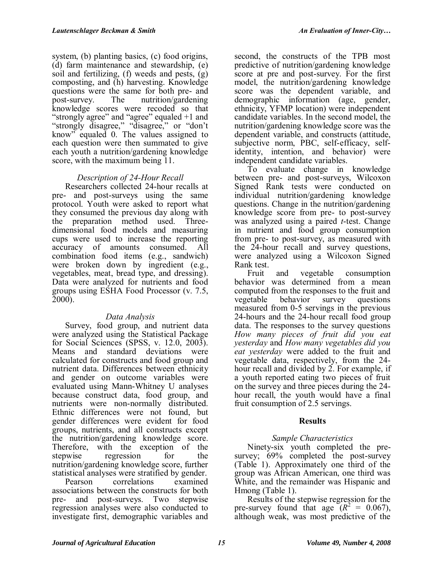system, (b) planting basics, (c) food origins, (d) farm maintenance and stewardship, (e) soil and fertilizing, (f) weeds and pests, (g) composting, and (h) harvesting. Knowledge questions were the same for both pre- and post-survey. The nutrition/gardening knowledge scores were recoded so that "strongly agree" and "agree" equaled +1 and "strongly disagree," "disagree," or "don't know" equaled 0. The values assigned to each question were then summated to give each youth a nutrition/gardening knowledge score, with the maximum being 11.

## *Description of 24-Hour Recall*

Researchers collected 24-hour recalls at pre- and post-surveys using the same protocol. Youth were asked to report what they consumed the previous day along with the preparation method used. Threedimensional food models and measuring cups were used to increase the reporting accuracy of amounts consumed. All combination food items (e.g., sandwich) were broken down by ingredient (e.g., vegetables, meat, bread type, and dressing). Data were analyzed for nutrients and food groups using ESHA Food Processor (v. 7.5, 2000).

## *Data Analysis*

Survey, food group, and nutrient data were analyzed using the Statistical Package for Social Sciences (SPSS, v. 12.0, 2003). Means and standard deviations were calculated for constructs and food group and nutrient data. Differences between ethnicity and gender on outcome variables were evaluated using Mann-Whitney U analyses because construct data, food group, and nutrients were non-normally distributed. Ethnic differences were not found, but gender differences were evident for food groups, nutrients, and all constructs except the nutrition/gardening knowledge score. Therefore, with the exception of the stepwise regression for the nutrition/gardening knowledge score, further statistical analyses were stratified by gender. Pearson correlations examined associations between the constructs for both pre- and post-surveys. Two stepwise

regression analyses were also conducted to investigate first, demographic variables and second, the constructs of the TPB most predictive of nutrition/gardening knowledge score at pre and post-survey. For the first model, the nutrition/gardening knowledge score was the dependent variable, and demographic information (age, gender, ethnicity, YFMP location) were independent candidate variables. In the second model, the nutrition/gardening knowledge score was the dependent variable, and constructs (attitude, subjective norm, PBC, self-efficacy, selfidentity, intention, and behavior) were independent candidate variables.

To evaluate change in knowledge between pre- and post-surveys, Wilcoxon Signed Rank tests were conducted on individual nutrition/gardening knowledge questions. Change in the nutrition/gardening knowledge score from pre- to post-survey was analyzed using a paired *t*-test. Change in nutrient and food group consumption from pre- to post-survey, as measured with the 24-hour recall and survey questions, were analyzed using a Wilcoxon Signed Rank test.

Fruit and vegetable consumption behavior was determined from a mean computed from the responses to the fruit and vegetable behavior survey questions measured from 0-5 servings in the previous 24-hours and the 24-hour recall food group data. The responses to the survey questions *How many pieces of fruit did you eat yesterday* and *How many vegetables did you eat yesterday* were added to the fruit and vegetable data, respectively, from the 24 hour recall and divided by 2. For example, if a youth reported eating two pieces of fruit on the survey and three pieces during the 24 hour recall, the youth would have a final fruit consumption of 2.5 servings.

## **Results**

## *Sample Characteristics*

Ninety-six youth completed the presurvey;  $69\%$  completed the post-survey (Table 1). Approximately one third of the group was African American, one third was White, and the remainder was Hispanic and Hmong (Table 1).

Results of the stepwise regression for the pre-survey found that age  $(R^2 = 0.067)$ , although weak, was most predictive of the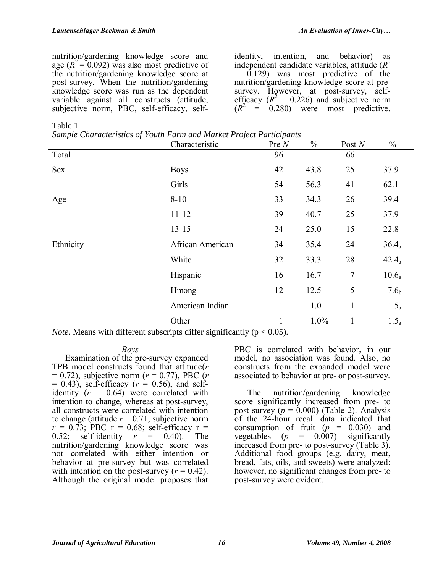nutrition/gardening knowledge score and age  $(R^2 = 0.092)$  was also most predictive of the nutrition/gardening knowledge score at post-survey. When the nutrition/gardening knowledge score was run as the dependent variable against all constructs (attitude, subjective norm, PBC, self-efficacy, selfidentity, intention, and behavior) as independent candidate variables, attitude (*R* 2 = 0.129) was most predictive of the nutrition/gardening knowledge score at presurvey. However, at post-survey, selfefficacy  $(R^2 = 0.226)$  and subjective norm  $(R^2 = 0.280)$  were most predictive.

Table 1

*Sample Characteristics of Youth Farm and Market Project Participants*

|            | Characteristic   | Pre $N$      | $\frac{0}{0}$ | Post $N$     | $\frac{0}{0}$     |
|------------|------------------|--------------|---------------|--------------|-------------------|
| Total      |                  | 96           |               | 66           |                   |
| <b>Sex</b> | <b>Boys</b>      | 42           | 43.8          | 25           | 37.9              |
|            | Girls            | 54           | 56.3          | 41           | 62.1              |
| Age        | $8 - 10$         | 33           | 34.3          | 26           | 39.4              |
|            | $11 - 12$        | 39           | 40.7          | 25           | 37.9              |
|            | $13 - 15$        | 24           | 25.0          | 15           | 22.8              |
| Ethnicity  | African American | 34           | 35.4          | 24           | 36.4 <sub>a</sub> |
|            | White            | 32           | 33.3          | 28           | $42.4_a$          |
|            | Hispanic         | 16           | 16.7          | 7            | 10.6 <sub>a</sub> |
|            | <b>H</b> mong    | 12           | 12.5          | 5            | 7.6 <sub>b</sub>  |
|            | American Indian  | $\mathbf{1}$ | 1.0           | $\mathbf{1}$ | 1.5 <sub>a</sub>  |
|            | Other            | 1            | 1.0%          | $\mathbf{1}$ | $1.5_a$           |

*Note.* Means with different subscripts differ significantly ( $p < 0.05$ ).

## *Boys*

Examination of the pre-survey expanded TPB model constructs found that attitude(*r* = 0.72), subjective norm (*r* = 0.77), PBC (*r*  $= 0.43$ ), self-efficacy ( $r = 0.56$ ), and selfidentity  $(r = 0.64)$  were correlated with intention to change, whereas at post-survey, all constructs were correlated with intention to change (attitude  $r = 0.71$ ; subjective norm  $r = 0.73$ ; PBC  $r = 0.68$ ; self-efficacy  $r =$ 0.52; self-identity  $r = 0.40$ . The nutrition/gardening knowledge score was not correlated with either intention or behavior at pre-survey but was correlated with intention on the post-survey  $(r = 0.42)$ . Although the original model proposes that

PBC is correlated with behavior, in our model, no association was found. Also, no constructs from the expanded model were associated to behavior at pre- or post-survey.

The nutrition/gardening knowledge score significantly increased from pre- to post-survey  $(p = 0.000)$  (Table 2). Analysis of the 24-hour recall data indicated that consumption of fruit  $(p = 0.030)$  and<br>vegetables  $(p = 0.007)$  significantly  $(p = 0.007)$  significantly increased from pre- to post-survey (Table 3). Additional food groups (e.g. dairy, meat, bread, fats, oils, and sweets) were analyzed; however, no significant changes from pre- to post-survey were evident.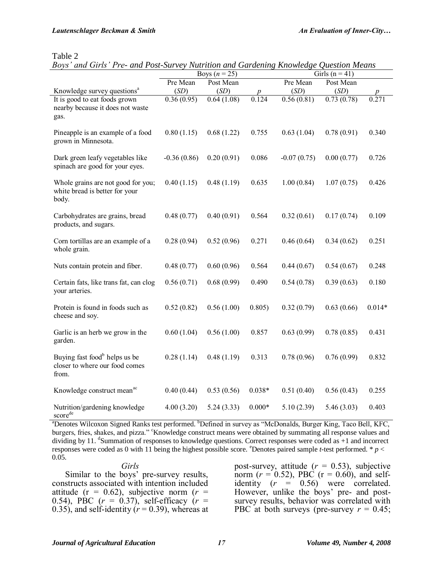## Table 2

|  |  | Boys' and Girls' Pre- and Post-Survey Nutrition and Gardening Knowledge Question Means |  |  |  |  |
|--|--|----------------------------------------------------------------------------------------|--|--|--|--|
|--|--|----------------------------------------------------------------------------------------|--|--|--|--|

|                                                                                      | Boys $(n = 25)$ |            |          | Girls $(n = 41)$ |            |          |
|--------------------------------------------------------------------------------------|-----------------|------------|----------|------------------|------------|----------|
|                                                                                      | Pre Mean        | Post Mean  |          | Pre Mean         | Post Mean  |          |
| Knowledge survey questions <sup>a</sup>                                              | (SD)            | (SD)       | p        | (SD)             | (SD)       |          |
| It is good to eat foods grown<br>nearby because it does not waste<br>gas.            | 0.36(0.95)      | 0.64(1.08) | 0.124    | 0.56(0.81)       | 0.73(0.78) | 0.271    |
| Pineapple is an example of a food<br>grown in Minnesota.                             | 0.80(1.15)      | 0.68(1.22) | 0.755    | 0.63(1.04)       | 0.78(0.91) | 0.340    |
| Dark green leafy vegetables like<br>spinach are good for your eyes.                  | $-0.36(0.86)$   | 0.20(0.91) | 0.086    | $-0.07(0.75)$    | 0.00(0.77) | 0.726    |
| Whole grains are not good for you;<br>white bread is better for your<br>body.        | 0.40(1.15)      | 0.48(1.19) | 0.635    | 1.00(0.84)       | 1.07(0.75) | 0.426    |
| Carbohydrates are grains, bread<br>products, and sugars.                             | 0.48(0.77)      | 0.40(0.91) | 0.564    | 0.32(0.61)       | 0.17(0.74) | 0.109    |
| Corn tortillas are an example of a<br>whole grain.                                   | 0.28(0.94)      | 0.52(0.96) | 0.271    | 0.46(0.64)       | 0.34(0.62) | 0.251    |
| Nuts contain protein and fiber.                                                      | 0.48(0.77)      | 0.60(0.96) | 0.564    | 0.44(0.67)       | 0.54(0.67) | 0.248    |
| Certain fats, like trans fat, can clog<br>your arteries.                             | 0.56(0.71)      | 0.68(0.99) | 0.490    | 0.54(0.78)       | 0.39(0.63) | 0.180    |
| Protein is found in foods such as<br>cheese and soy.                                 | 0.52(0.82)      | 0.56(1.00) | 0.805)   | 0.32(0.79)       | 0.63(0.66) | $0.014*$ |
| Garlic is an herb we grow in the<br>garden.                                          | 0.60(1.04)      | 0.56(1.00) | 0.857    | 0.63(0.99)       | 0.78(0.85) | 0.431    |
| Buying fast food <sup>b</sup> helps us be<br>closer to where our food comes<br>from. | 0.28(1.14)      | 0.48(1.19) | 0.313    | 0.78(0.96)       | 0.76(0.99) | 0.832    |
| Knowledge construct mean <sup>ac</sup>                                               | 0.40(0.44)      | 0.53(0.56) | $0.038*$ | 0.51(0.40)       | 0.56(0.43) | 0.255    |
| Nutrition/gardening knowledge<br>scorede                                             | 4.00(3.20)      | 5.24(3.33) | $0.000*$ | 5.10(2.39)       | 5.46(3.03) | 0.403    |

<sup>a</sup>Denotes Wilcoxon Signed Ranks test performed. <sup>b</sup>Defined in survey as "McDonalds, Burger King, Taco Bell, KFC, burgers, fries, shakes, and pizza." "Knowledge construct means were obtained by summating all response values and dividing by 11. <sup>d</sup> Summation of responses to knowledge questions. Correct responses were coded as +1 and incorrect responses were coded as 0 with 11 being the highest possible score. <sup>e</sup>Denotes paired sample *t*-test performed. \*  $p$  < 0.05.

#### *Girls*

Similar to the boys' pre-survey results, constructs associated with intention included attitude ( $r = 0.62$ ), subjective norm ( $r =$ 0.54), PBC (*r* = 0.37), self-efficacy (*r* = 0.35), and self-identity  $(r = 0.39)$ , whereas at post-survey, attitude  $(r = 0.53)$ , subjective norm ( $r = 0.52$ ), PBC ( $r = 0.60$ ), and selfidentity (*r* = 0.56) were correlated. However, unlike the boys' pre- and postsurvey results, behavior was correlated with PBC at both surveys (pre-survey  $r = 0.45$ ;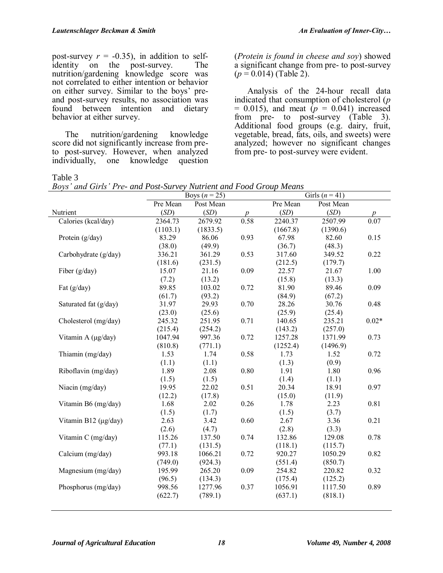post-survey  $r = -0.35$ ), in addition to self-<br>identity on the post-survey. The the post-survey. The nutrition/gardening knowledge score was not correlated to either intention or behavior on either survey. Similar to the boys' preand post-survey results, no association was found between intention and dietary behavior at either survey.

The nutrition/gardening knowledge score did not significantly increase from preto post-survey. However, when analyzed individually, one knowledge question (*Protein is found in cheese and soy*) showed a significant change from pre- to post-survey  $(p = 0.014)$  (Table 2).

Analysis of the 24-hour recall data indicated that consumption of cholesterol (*p*  $= 0.015$ ), and meat  $(p = 0.041)$  increased from pre- to post-survey (Table 3). Additional food groups (e.g. dairy, fruit, vegetable, bread, fats, oils, and sweets) were analyzed; however no significant changes from pre- to post-survey were evident.

Table 3

*Boys' and Girls' Pre- and Post-Survey Nutrient and Food Group Means*

|                       |          | Boys $(n = 25)$ |      | Girls $(n = 41)$ |           |         |
|-----------------------|----------|-----------------|------|------------------|-----------|---------|
|                       | Pre Mean | Post Mean       |      | Pre Mean         | Post Mean |         |
| Nutrient              | (SD)     | (SD)            | p    | (SD)             | (SD)      |         |
| Calories (kcal/day)   | 2364.73  | 2679.92         | 0.58 | 2240.37          | 2507.99   | 0.07    |
|                       | (1103.1) | (1833.5)        |      | (1667.8)         | (1390.6)  |         |
| Protein (g/day)       | 83.29    | 86.06           | 0.93 | 67.98            | 82.60     | 0.15    |
|                       | (38.0)   | (49.9)          |      | (36.7)           | (48.3)    |         |
| Carbohydrate (g/day)  | 336.21   | 361.29          | 0.53 | 317.60           | 349.52    | 0.22    |
|                       | (181.6)  | (231.5)         |      | (212.5)          | (179.7)   |         |
| Fiber $(g/day)$       | 15.07    | 21.16           | 0.09 | 22.57            | 21.67     | 1.00    |
|                       | (7.2)    | (13.2)          |      | (15.8)           | (13.3)    |         |
| Fat (g/day)           | 89.85    | 103.02          | 0.72 | 81.90            | 89.46     | 0.09    |
|                       | (61.7)   | (93.2)          |      | (84.9)           | (67.2)    |         |
| Saturated fat (g/day) | 31.97    | 29.93           | 0.70 | 28.26            | 30.76     | 0.48    |
|                       | (23.0)   | (25.6)          |      | (25.9)           | (25.4)    |         |
| Cholesterol (mg/day)  | 245.32   | 251.95          | 0.71 | 140.65           | 235.21    | $0.02*$ |
|                       | (215.4)  | (254.2)         |      | (143.2)          | (257.0)   |         |
| Vitamin A (µg/day)    | 1047.94  | 997.36          | 0.72 | 1257.28          | 1371.99   | 0.73    |
|                       | (810.8)  | (771.1)         |      | (1252.4)         | (1496.9)  |         |
| Thiamin (mg/day)      | 1.53     | 1.74            | 0.58 | 1.73             | 1.52      | 0.72    |
|                       | (1.1)    | (1.1)           |      | (1.3)            | (0.9)     |         |
| Riboflavin (mg/day)   | 1.89     | 2.08            | 0.80 | 1.91             | 1.80      | 0.96    |
|                       | (1.5)    | (1.5)           |      | (1.4)            | (1.1)     |         |
| Niacin (mg/day)       | 19.95    | 22.02           | 0.51 | 20.34            | 18.91     | 0.97    |
|                       | (12.2)   | (17.8)          |      | (15.0)           | (11.9)    |         |
| Vitamin B6 (mg/day)   | 1.68     | 2.02            | 0.26 | 1.78             | 2.23      | 0.81    |
|                       | (1.5)    | (1.7)           |      | (1.5)            | (3.7)     |         |
| Vitamin B12 (µg/day)  | 2.63     | 3.42            | 0.60 | 2.67             | 3.36      | 0.21    |
|                       | (2.6)    | (4.7)           |      | (2.8)            | (3.3)     |         |
| Vitamin C (mg/day)    | 115.26   | 137.50          | 0.74 | 132.86           | 129.08    | 0.78    |
|                       | (77.1)   | (131.5)         |      | (118.1)          | (115.7)   |         |
| Calcium (mg/day)      | 993.18   | 1066.21         | 0.72 | 920.27           | 1050.29   | 0.82    |
|                       | (749.0)  | (924.3)         |      | (551.4)          | (850.7)   |         |
| Magnesium (mg/day)    | 195.99   | 265.20          | 0.09 | 254.82           | 220.82    | 0.32    |
|                       | (96.5)   | (134.3)         |      | (175.4)          | (125.2)   |         |
| Phosphorus (mg/day)   | 998.56   | 1277.96         | 0.37 | 1056.91          | 1117.50   | 0.89    |
|                       | (622.7)  | (789.1)         |      | (637.1)          | (818.1)   |         |
|                       |          |                 |      |                  |           |         |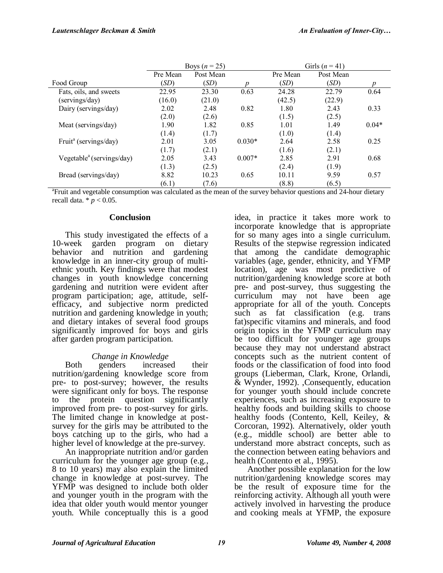|                                       | Girls $(n = 41)$<br>Boys $(n=25)$ |           |          |          |           |         |
|---------------------------------------|-----------------------------------|-----------|----------|----------|-----------|---------|
|                                       | Pre Mean                          | Post Mean |          | Pre Mean | Post Mean |         |
| Food Group                            | (SD)                              | (SD)      | n        | (SD)     | (SD)      | n       |
| Fats, oils, and sweets                | 22.95                             | 23.30     | 0.63     | 24.28    | 22.79     | 0.64    |
| (servings/day)                        | (16.0)                            | (21.0)    |          | (42.5)   | (22.9)    |         |
| Dairy (servings/day)                  | 2.02                              | 2.48      | 0.82     | 1.80     | 2.43      | 0.33    |
|                                       | (2.0)                             | (2.6)     |          | (1.5)    | (2.5)     |         |
| Meat (servings/day)                   | 1.90                              | 1.82      | 0.85     | 1.01     | 1.49      | $0.04*$ |
|                                       | (1.4)                             | (1.7)     |          | (1.0)    | (1.4)     |         |
| Fruit <sup>a</sup> (servings/day)     | 2.01                              | 3.05      | $0.030*$ | 2.64     | 2.58      | 0.25    |
|                                       | (1.7)                             | (2.1)     |          | (1.6)    | (2.1)     |         |
| Vegetable <sup>a</sup> (servings/day) | 2.05                              | 3.43      | $0.007*$ | 2.85     | 2.91      | 0.68    |
|                                       | (1.3)                             | (2.5)     |          | (2.4)    | (1.9)     |         |
| Bread (servings/day)                  | 8.82                              | 10.23     | 0.65     | 10.11    | 9.59      | 0.57    |
|                                       | (6.1)                             | (7.6)     |          | (8.8)    | (6.5)     |         |

<sup>a</sup> Fruit and vegetable consumption was calculated as the mean of the survey behavior questions and 24-hour dietary recall data. \* *p* < 0.05.

#### **Conclusion**

This study investigated the effects of a 10-week garden program on dietary behavior and nutrition and gardening knowledge in an inner-city group of multiethnic youth. Key findings were that modest changes in youth knowledge concerning gardening and nutrition were evident after program participation; age, attitude, selfefficacy, and subjective norm predicted nutrition and gardening knowledge in youth; and dietary intakes of several food groups significantly improved for boys and girls after garden program participation.

## *Change in Knowledge*

Both genders increased their nutrition/gardening knowledge score from pre- to post-survey; however, the results were significant only for boys. The response to the protein question significantly improved from pre- to post-survey for girls. The limited change in knowledge at postsurvey for the girls may be attributed to the boys catching up to the girls, who had a higher level of knowledge at the pre-survey.

An inappropriate nutrition and/or garden curriculum for the younger age group (e.g., 8 to 10 years) may also explain the limited change in knowledge at post-survey. The YFMP was designed to include both older and younger youth in the program with the idea that older youth would mentor younger youth. While conceptually this is a good idea, in practice it takes more work to incorporate knowledge that is appropriate for so many ages into a single curriculum. Results of the stepwise regression indicated that among the candidate demographic variables (age, gender, ethnicity, and YFMP location), age was most predictive of nutrition/gardening knowledge score at both pre- and post-survey, thus suggesting the curriculum may not have been age appropriate for all of the youth. Concepts such as fat classification (e.g. trans fat)specific vitamins and minerals, and food origin topics in the YFMP curriculum may be too difficult for younger age groups because they may not understand abstract concepts such as the nutrient content of foods or the classification of food into food groups (Lieberman, Clark, Krone, Orlandi, & Wynder, 1992). ,Consequently, education for younger youth should include concrete experiences, such as increasing exposure to healthy foods and building skills to choose healthy foods (Contento, Kell, Keiley, & Corcoran, 1992). Alternatively, older youth (e.g., middle school) are better able to understand more abstract concepts, such as the connection between eating behaviors and health (Contento et al., 1995).

Another possible explanation for the low nutrition/gardening knowledge scores may be the result of exposure time for the reinforcing activity. Although all youth were actively involved in harvesting the produce and cooking meals at YFMP, the exposure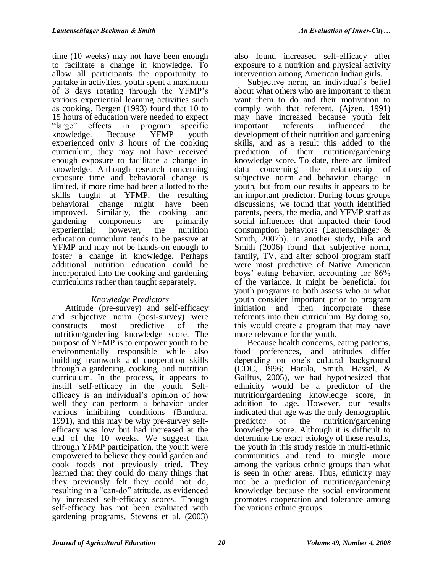time (10 weeks) may not have been enough to facilitate a change in knowledge. To allow all participants the opportunity to partake in activities, youth spent a maximum of 3 days rotating through the YFMP's various experiential learning activities such as cooking. Bergen (1993) found that 10 to 15 hours of education were needed to expect<br>
"large" effects in program specific effects in program specific knowledge. Because YFMP youth experienced only 3 hours of the cooking curriculum, they may not have received enough exposure to facilitate a change in knowledge. Although research concerning exposure time and behavioral change is limited, if more time had been allotted to the skills taught at YFMP, the resulting behavioral change might have been improved. Similarly, the cooking and gardening components are primarily experiential; however, the nutrition education curriculum tends to be passive at YFMP and may not be hands-on enough to foster a change in knowledge. Perhaps additional nutrition education could be incorporated into the cooking and gardening curriculums rather than taught separately.

# *Knowledge Predictors*

Attitude (pre-survey) and self-efficacy and subjective norm (post-survey) were constructs most predictive of the nutrition/gardening knowledge score. The purpose of YFMP is to empower youth to be environmentally responsible while also building teamwork and cooperation skills through a gardening, cooking, and nutrition curriculum. In the process, it appears to instill self-efficacy in the youth. Selfefficacy is an individual's opinion of how well they can perform a behavior under various inhibiting conditions (Bandura, 1991), and this may be why pre-survey selfefficacy was low but had increased at the end of the 10 weeks. We suggest that through YFMP participation, the youth were empowered to believe they could garden and cook foods not previously tried. They learned that they could do many things that they previously felt they could not do, resulting in a "can-do" attitude, as evidenced by increased self-efficacy scores. Though self-efficacy has not been evaluated with gardening programs, Stevens et al. (2003)

also found increased self-efficacy after exposure to a nutrition and physical activity intervention among American Indian girls.

Subjective norm, an individual's belief about what others who are important to them want them to do and their motivation to comply with that referent, (Ajzen, 1991) may have increased because youth felt important referents influenced the development of their nutrition and gardening skills, and as a result this added to the prediction of their nutrition/gardening knowledge score. To date, there are limited data concerning the relationship of subjective norm and behavior change in youth, but from our results it appears to be an important predictor. During focus groups discussions, we found that youth identified parents, peers, the media, and YFMP staff as social influences that impacted their food consumption behaviors (Lautenschlager & Smith, 2007b). In another study, Fila and Smith (2006) found that subjective norm, family, TV, and after school program staff were most predictive of Native American boys' eating behavior, accounting for 86% of the variance. It might be beneficial for youth programs to both assess who or what youth consider important prior to program initiation and then incorporate these referents into their curriculum. By doing so, this would create a program that may have more relevance for the youth.

Because health concerns, eating patterns, food preferences, and attitudes differ depending on one's cultural background (CDC, 1996; Harala, Smith, Hassel, & Gailfus, 2005), we had hypothesized that ethnicity would be a predictor of the nutrition/gardening knowledge score, in addition to age. However, our results indicated that age was the only demographic predictor of the nutrition/gardening knowledge score. Although it is difficult to determine the exact etiology of these results, the youth in this study reside in multi-ethnic communities and tend to mingle more among the various ethnic groups than what is seen in other areas. Thus, ethnicity may not be a predictor of nutrition/gardening knowledge because the social environment promotes cooperation and tolerance among the various ethnic groups.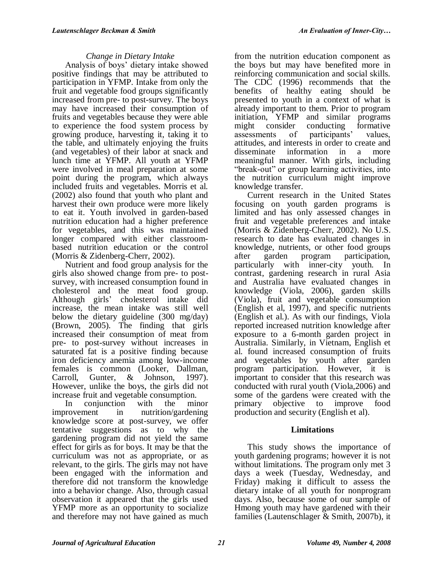#### *Change in Dietary Intake*

Analysis of boys' dietary intake showed positive findings that may be attributed to participation in YFMP. Intake from only the fruit and vegetable food groups significantly increased from pre- to post-survey. The boys may have increased their consumption of fruits and vegetables because they were able to experience the food system process by growing produce, harvesting it, taking it to the table, and ultimately enjoying the fruits (and vegetables) of their labor at snack and lunch time at YFMP. All youth at YFMP were involved in meal preparation at some point during the program, which always included fruits and vegetables. Morris et al. (2002) also found that youth who plant and harvest their own produce were more likely to eat it. Youth involved in garden-based nutrition education had a higher preference for vegetables, and this was maintained longer compared with either classroombased nutrition education or the control (Morris & Zidenberg-Cherr, 2002).

Nutrient and food group analysis for the girls also showed change from pre- to postsurvey, with increased consumption found in cholesterol and the meat food group. Although girls' cholesterol intake did increase, the mean intake was still well below the dietary guideline (300 mg/day) (Brown, 2005). The finding that girls increased their consumption of meat from pre- to post-survey without increases in saturated fat is a positive finding because iron deficiency anemia among low-income females is common (Looker, Dallman, Carroll, Gunter, & Johnson, 1997). However, unlike the boys, the girls did not increase fruit and vegetable consumption.

In conjunction with the minor<br>improvement in nutrition/gardening in nutrition/gardening knowledge score at post-survey, we offer tentative suggestions as to why the gardening program did not yield the same effect for girls as for boys. It may be that the curriculum was not as appropriate, or as relevant, to the girls. The girls may not have been engaged with the information and therefore did not transform the knowledge into a behavior change. Also, through casual observation it appeared that the girls used YFMP more as an opportunity to socialize and therefore may not have gained as much from the nutrition education component as the boys but may have benefited more in reinforcing communication and social skills. The CDC (1996) recommends that the benefits of healthy eating should be presented to youth in a context of what is already important to them. Prior to program initiation, YFMP and similar programs might consider conducting formative assessments of participants' values, attitudes, and interests in order to create and disseminate information in a more meaningful manner. With girls, including "break-out" or group learning activities, into the nutrition curriculum might improve knowledge transfer.

Current research in the United States focusing on youth garden programs is limited and has only assessed changes in fruit and vegetable preferences and intake (Morris & Zidenberg-Cherr, 2002). No U.S. research to date has evaluated changes in knowledge, nutrients, or other food groups<br>after garden program participation, after garden program participation, particularly with inner-city youth. In contrast, gardening research in rural Asia and Australia have evaluated changes in knowledge (Viola, 2006), garden skills (Viola), fruit and vegetable consumption (English et al, 1997), and specific nutrients (English et al.). As with our findings, Viola reported increased nutrition knowledge after exposure to a 6-month garden project in Australia. Similarly, in Vietnam, English et al. found increased consumption of fruits and vegetables by youth after garden program participation. However, it is important to consider that this research was conducted with rural youth (Viola,2006) and some of the gardens were created with the primary objective to improve food production and security (English et al).

## **Limitations**

This study shows the importance of youth gardening programs; however it is not without limitations. The program only met 3 days a week (Tuesday, Wednesday, and Friday) making it difficult to assess the dietary intake of all youth for nonprogram days. Also, because some of our sample of Hmong youth may have gardened with their families (Lautenschlager & Smith, 2007b), it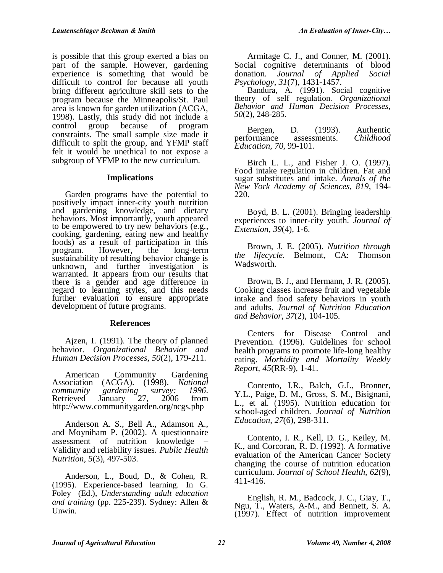Ī

is possible that this group exerted a bias on part of the sample. However, gardening experience is something that would be difficult to control for because all youth bring different agriculture skill sets to the program because the Minneapolis/St. Paul area is known for garden utilization (ACGA, 1998). Lastly, this study did not include a control group because of program constraints. The small sample size made it difficult to split the group, and YFMP staff felt it would be unethical to not expose a subgroup of YFMP to the new curriculum.

#### **Implications**

Garden programs have the potential to positively impact inner-city youth nutrition and gardening knowledge, and dietary behaviors. Most importantly, youth appeared to be empowered to try new behaviors (e.g., cooking, gardening, eating new and healthy foods) as a result of participation in this program. However, the long-term sustainability of resulting behavior change is unknown, and further investigation is warranted. It appears from our results that there is a gender and age difference in regard to learning styles, and this needs further evaluation to ensure appropriate development of future programs.

#### **References**

Ajzen, I. (1991). The theory of planned behavior. *Organizational Behavior and Human Decision Processes, 50*(2), 179-211.

American Community Gardening Association (ACGA). (1998). *National community gardening survey: 1996. community gardening survey:*<br>Retrieved January 27, 2006 Retrieved January 27, 2006 from http://www.communitygarden.org/ncgs.php

Anderson A. S., Bell A., Adamson A., and Moyniham P. (2002). A questionnaire assessment of nutrition knowledge – Validity and reliability issues. *Public Health Nutrition, 5*(3), 497-503.

Anderson, L., Boud, D., & Cohen, R. (1995). Experience-based learning. In G. Foley (Ed.), *Understanding adult education and training* (pp. 225-239). Sydney: Allen & Unwin.

Armitage C. J., and Conner, M. (2001). Social cognitive determinants of blood donation. *Journal of Applied Social Psychology, 31*(7), 1431-1457.

Bandura, A. (1991). Social cognitive theory of self regulation. *Organizational Behavior and Human Decision Processes, 50*(2), 248-285.

Bergen, D. (1993). Authentic performance assessments. *Childhood Education, 70*, 99-101.

Birch L. L., and Fisher J. O. (1997). Food intake regulation in children. Fat and sugar substitutes and intake. *Annals of the New York Academy of Sciences, 819*, 194- 220.

Boyd, B. L. (2001). Bringing leadership experiences to inner-city youth. *Journal of Extension, 39*(4), 1-6.

Brown, J. E. (2005). *Nutrition through the lifecycle.* Belmont, CA: Thomson Wadsworth.

Brown, B. J., and Hermann, J. R. (2005). Cooking classes increase fruit and vegetable intake and food safety behaviors in youth and adults. *Journal of Nutrition Education and Behavior, 37*(2), 104-105.

Centers for Disease Control and Prevention. (1996). Guidelines for school health programs to promote life-long healthy eating. *Morbidity and Mortality Weekly Report, 45*(RR-9), 1-41.

Contento, I.R., Balch, G.I., Bronner, Y.L., Paige, D. M., Gross, S. M., Bisignani, L., et al. (1995). Nutrition education for school-aged children. *Journal of Nutrition Education, 27*(6), 298-311.

Contento, I. R., Kell, D. G., Keiley, M. K., and Corcoran, R. D. (1992). A formative evaluation of the American Cancer Society changing the course of nutrition education curriculum. *Journal of School Health, 62*(9), 411-416.

English, R. M., Badcock, J. C., Giay, T., Ngu, T., Waters, A-M., and Bennett, S. A. (1997). Effect of nutrition improvement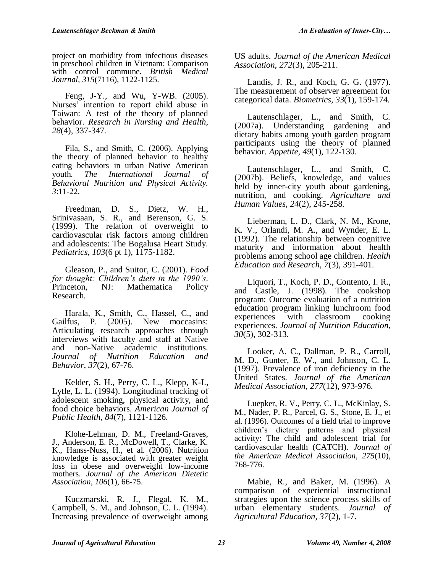project on morbidity from infectious diseases in preschool children in Vietnam: Comparison with control commune. *British Medical Journal, 315*(7116), 1122-1125.

Feng, J-Y., and Wu, Y-WB. (2005). Nurses' intention to report child abuse in Taiwan: A test of the theory of planned behavior. *Research in Nursing and Health, 28*(4), 337-347.

Fila, S., and Smith, C. (2006). Applying the theory of planned behavior to healthy eating behaviors in urban Native American youth. *The International Journal of Behavioral Nutrition and Physical Activity. 3*:11-22.

Freedman, D. S., Dietz, W. H., Srinivasaan, S. R., and Berenson, G. S. (1999). The relation of overweight to cardiovascular risk factors among children and adolescents: The Bogalusa Heart Study. *Pediatrics, 103*(6 pt 1), 1175-1182.

Gleason, P., and Suitor, C. (2001). *Food for thought: Children's diets in the 1990's*. Mathematica Policy Research.

Harala, K., Smith, C., Hassel, C., and<br>Ifus. P. (2005). New moccasins: Gailfus, P.  $(2005)$ . New Articulating research approaches through interviews with faculty and staff at Native and non-Native academic institutions. *Journal of Nutrition Education and Behavior, 37*(2), 67-76.

Kelder, S. H., Perry, C. L., Klepp, K-I., Lytle, L. L. (1994). Longitudinal tracking of adolescent smoking, physical activity, and food choice behaviors. *American Journal of Public Health, 84*(7), 1121-1126.

Klohe-Lehman, D. M., Freeland-Graves, J., Anderson, E. R., McDowell, T., Clarke, K. K., Hanss-Nuss, H., et al. (2006). Nutrition knowledge is associated with greater weight loss in obese and overweight low-income mothers. *Journal of the American Dietetic Association, 106*(1), 66-75.

Kuczmarski, R. J., Flegal, K. M., Campbell, S. M., and Johnson, C. L. (1994). Increasing prevalence of overweight among

US adults. *Journal of the American Medical Association, 272*(3), 205-211.

Landis, J. R., and Koch, G. G. (1977). The measurement of observer agreement for categorical data. *Biometrics, 33*(1), 159-174.

Lautenschlager, L., and Smith, C. (2007a). Understanding gardening and dietary habits among youth garden program participants using the theory of planned behavior. *Appetite, 49*(1), 122-130.

Lautenschlager, L., and Smith, C. (2007b). Beliefs, knowledge, and values held by inner-city youth about gardening, nutrition, and cooking. *Agriculture and Human Values, 24*(2), 245-258.

Lieberman, L. D., Clark, N. M., Krone, K. V., Orlandi, M. A., and Wynder, E. L. (1992). The relationship between cognitive maturity and information about health problems among school age children. *Health Education and Research, 7*(3), 391-401.

Liquori, T., Koch, P. D., Contento, I. R., and Castle, J. (1998). The cookshop program: Outcome evaluation of a nutrition education program linking lunchroom food experiences with classroom cooking experiences. *Journal of Nutrition Education, 30*(5), 302-313.

Looker, A. C., Dallman, P. R., Carroll, M. D., Gunter, E. W., and Johnson, C. L. (1997). Prevalence of iron deficiency in the United States. *Journal of the American Medical Association, 277*(12), 973-976.

Luepker, R. V., Perry, C. L., McKinlay, S. M., Nader, P. R., Parcel, G. S., Stone, E. J., et al. (1996). Outcomes of a field trial to improve children's dietary patterns and physical activity: The child and adolescent trial for cardiovascular health (CATCH). *Journal of the American Medical Association, 275*(10), 768-776.

Mabie, R., and Baker, M. (1996). A comparison of experiential instructional strategies upon the science process skills of urban elementary students. *Journal of Agricultural Education, 37*(2), 1-7.